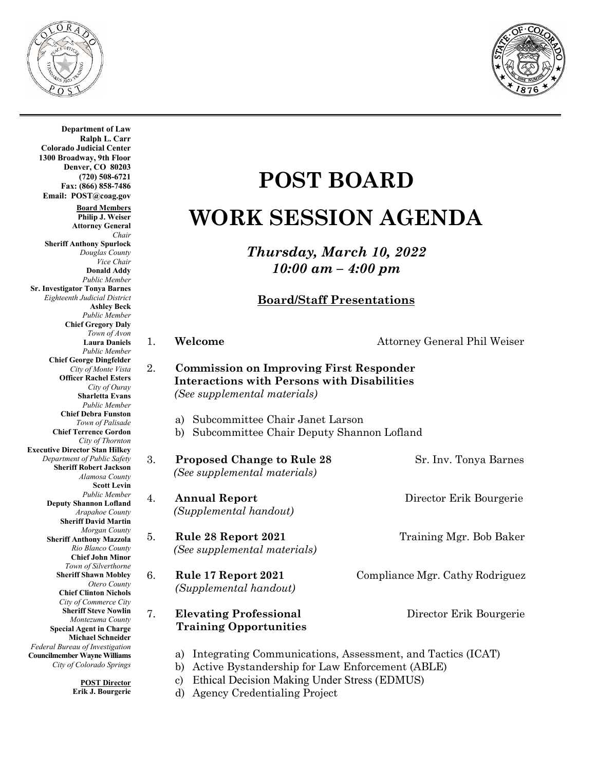



**Department of Law Ralph L. Carr Colorado Judicial Center 1300 Broadway, 9th Floor Denver, CO 80203 (720) 508-6721 Fax: (866) 858-7486 Email: POST@coag.gov Board Members Philip J. Weiser Attorney General** *Chair* **Sheriff Anthony Spurlock** *Douglas County Vice Chair*  **Donald Addy** *Public Member* **Sr. Investigator Tonya Barnes** *Eighteenth Judicial District* **Ashley Beck** *Public Member* **Chief Gregory Daly** *Town of Avon* **Laura Daniels** *Public Member* **Chief George Dingfelder** *City of Monte Vista* **Officer Rachel Esters** *City of Ouray* **Sharletta Evans** *Public Member* **Chief Debra Funston** *Town of Palisade* **Chief Terrence Gordon** *City of Thornton* **Executive Director Stan Hilkey Department of Public Sheriff Robert** Alamoso Scot  $Public$ **Deputy Shannon** *Arapahoe* **Sheriff David**  $Morgan$ **Sheriff Anthony M**  $R$ *io Blanco* **Chief John** *Town of Silve* **Sheriff Shawn** *Otero County* **Chief Clinton** *City* of Commer **Sheriff Steve** *Montezuma* **Special Agent in Michael Sc** *Federal Bureau of Investigation* **Councilmember Wayne V City of Colorado** 

**POST Director Erik J. Bourgerie**

## **POST BOARD WORK SESSION AGENDA**

*Thursday, March 10, 2022 10:00 am – 4:00 pm*

## **Board/Staff Presentations**

| $\mathbf{1}$ . | Welcome                                                                                                                              | Attorney General Phil Weiser |
|----------------|--------------------------------------------------------------------------------------------------------------------------------------|------------------------------|
| $2_{\cdot}$    | <b>Commission on Improving First Responder</b><br><b>Interactions with Persons with Disabilities</b><br>(See supplemental materials) |                              |
|                |                                                                                                                                      |                              |

- a) Subcommittee Chair Janet Larson
- b) Subcommittee Chair Deputy Shannon Lofland

| $\Omega$ . | <b>Proposed Change to Rule 28</b><br>(See supplemental materials)                                                         | Sr. Inv. Tonya Barnes           |
|------------|---------------------------------------------------------------------------------------------------------------------------|---------------------------------|
| 4.         | <b>Annual Report</b><br>(Supplemental handout)                                                                            | Director Erik Bourgerie         |
| 5.         | Rule 28 Report 2021<br>(See supplemental materials)                                                                       | Training Mgr. Bob Baker         |
| 6.         | Rule 17 Report 2021<br>(Supplemental handout)                                                                             | Compliance Mgr. Cathy Rodriguez |
| 7.         | <b>Elevating Professional</b><br><b>Training Opportunities</b>                                                            | Director Erik Bourgerie         |
|            | Integrating Communications, Assessment, and Tactics (ICAT)<br>a)<br>Active Bystandership for Law Enforcement (ABLE)<br>b) |                                 |

- c) Ethical Decision Making Under Stress (EDMUS)
- d) Agency Credentialing Project